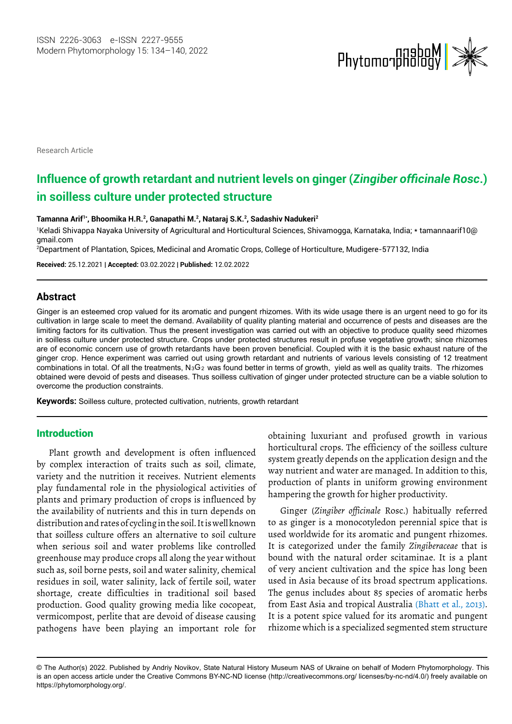

Research Article

# **Influence of growth retardant and nutrient levels on ginger (***Zingiber officinale Rosc***.) in soilless culture under protected structure**

**Tamanna Arif1\*, Bhoomika H.R.2, Ganapathi M.2 , Nataraj S.K.2 , Sadashiv Nadukeri2**

1 Keladi Shivappa Nayaka University of Agricultural and Horticultural Sciences, Shivamogga, Karnataka, India; \* [tamannaarif10@](mailto:tamannaarif10@gmail.com) [gmail.com](mailto:tamannaarif10@gmail.com)

2 Department of Plantation, Spices, Medicinal and Aromatic Crops, College of Horticulture, Mudigere-577132, India

**Received:** 25.12.2021 | **Accepted:** 03.02.2022 | **Published:** 12.02.2022

# **Abstract**

Ginger is an esteemed crop valued for its aromatic and pungent rhizomes. With its wide usage there is an urgent need to go for its cultivation in large scale to meet the demand. Availability of quality planting material and occurrence of pests and diseases are the limiting factors for its cultivation. Thus the present investigation was carried out with an objective to produce quality seed rhizomes in soilless culture under protected structure. Crops under protected structures result in profuse vegetative growth; since rhizomes are of economic concern use of growth retardants have been proven beneficial. Coupled with it is the basic exhaust nature of the ginger crop. Hence experiment was carried out using growth retardant and nutrients of various levels consisting of 12 treatment obtained were devoid of pests and diseases. Thus soilless cultivation of ginger under protected structure can be a viable solution to overcome the production constraints. combinations in total. Of all the treatments,  $N_3G_2$  was found better in terms of growth, yield as well as quality traits. The rhizomes

**Keywords:** Soilless culture, protected cultivation, nutrients, growth retardant

# Introduction

Plant growth and development is often influenced by complex interaction of traits such as soil, climate, variety and the nutrition it receives. Nutrient elements play fundamental role in the physiological activities of plants and primary production of crops is influenced by the availability of nutrients and this in turn depends on distribution and rates of cycling in the soil. It is well known that soilless culture offers an alternative to soil culture when serious soil and water problems like controlled greenhouse may produce crops all along the year without such as, soil borne pests, soil and water salinity, chemical residues in soil, water salinity, lack of fertile soil, water shortage, create difficulties in traditional soil based production. Good quality growing media like cocopeat, vermicompost, perlite that are devoid of disease causing pathogens have been playing an important role for

obtaining luxuriant and profused growth in various horticultural crops. The efficiency of the soilless culture system greatly depends on the application design and the way nutrient and water are managed. In addition to this, production of plants in uniform growing environment hampering the growth for higher productivity.

Ginger (*Zingiber officinale* Rosc.) habitually referred to as ginger is a monocotyledon perennial spice that is used worldwide for its aromatic and pungent rhizomes. It is categorized under the family *Zingiberaceae* that is bound with the natural order scitaminae. It is a plant of very ancient cultivation and the spice has long been used in Asia because of its broad spectrum applications. The genus includes about 85 species of aromatic herbs from East Asia and tropical Australia (Bhatt et al., 2013). It is a potent spice valued for its aromatic and pungent rhizome which is a specialized segmented stem structure

is an open access article under the Creative Commons BY-NC-ND license (http://creativecommons.org/ licenses/by-nc-nd/4.0/) freely available on https://phytomorphology.org/. © The Author(s) 2022. Published by Andriy Novikov, State Natural History Museum NAS of Ukraine on behalf of Modern Phytomorphology. This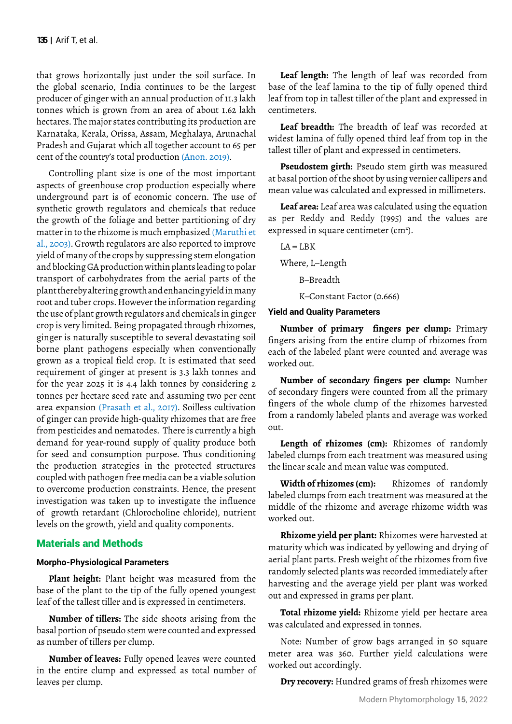that grows horizontally just under the soil surface. In the global scenario, India continues to be the largest producer of ginger with an annual production of 11.3 lakh tonnes which is grown from an area of about 1.62 lakh hectares. The major states contributing its production are Karnataka, Kerala, Orissa, Assam, Meghalaya, Arunachal Pradesh and Gujarat which all together account to 65 per cent of the country's total production (Anon. 2019).

Controlling plant size is one of the most important aspects of greenhouse crop production especially where underground part is of economic concern. The use of synthetic growth regulators and chemicals that reduce the growth of the foliage and better partitioning of dry matter in to the rhizome is much emphasized (Maruthi et al., 2003). Growth regulators are also reported to improve yield of many of the crops by suppressing stem elongation and blocking GA production within plants leading to polar transport of carbohydrates from the aerial parts of the plant thereby altering growth and enhancing yield in many root and tuber crops. However the information regarding the use of plant growth regulators and chemicals in ginger crop is very limited. Being propagated through rhizomes, ginger is naturally susceptible to several devastating soil borne plant pathogens especially when conventionally grown as a tropical field crop. It is estimated that seed requirement of ginger at present is 3.3 lakh tonnes and for the year 2025 it is 4.4 lakh tonnes by considering 2 tonnes per hectare seed rate and assuming two per cent area expansion (Prasath et al., 2017). Soilless cultivation of ginger can provide high-quality rhizomes that are free from pesticides and nematodes. There is currently a high demand for year-round supply of quality produce both for seed and consumption purpose. Thus conditioning the production strategies in the protected structures coupled with pathogen free media can be a viable solution to overcome production constraints. Hence, the present investigation was taken up to investigate the influence of growth retardant (Chlorocholine chloride), nutrient levels on the growth, yield and quality components.

# Materials and Methods

### **Morpho-Physiological Parameters**

**Plant height:** Plant height was measured from the base of the plant to the tip of the fully opened youngest leaf of the tallest tiller and is expressed in centimeters.

**Number of tillers:** The side shoots arising from the basal portion of pseudo stem were counted and expressed as number of tillers per clump.

**Number of leaves:** Fully opened leaves were counted in the entire clump and expressed as total number of leaves per clump.

**Leaf length:** The length of leaf was recorded from base of the leaf lamina to the tip of fully opened third leaf from top in tallest tiller of the plant and expressed in centimeters.

**Leaf breadth:** The breadth of leaf was recorded at widest lamina of fully opened third leaf from top in the tallest tiller of plant and expressed in centimeters.

**Pseudostem girth:** Pseudo stem girth was measured at basal portion of the shoot by using vernier callipers and mean value was calculated and expressed in millimeters.

**Leaf area:** Leaf area was calculated using the equation as per Reddy and Reddy (1995) and the values are expressed in square centimeter (cm<sup>2</sup>).

 $LA = LBK$ Where, L–Length B–Breadth

K–Constant Factor (0.666)

# **Yield and Quality Parameters**

**Number of primary fingers per clump:** Primary fingers arising from the entire clump of rhizomes from each of the labeled plant were counted and average was worked out.

**Number of secondary fingers per clump:** Number of secondary fingers were counted from all the primary fingers of the whole clump of the rhizomes harvested from a randomly labeled plants and average was worked out.

**Length of rhizomes (cm):** Rhizomes of randomly labeled clumps from each treatment was measured using the linear scale and mean value was computed.

**Width of rhizomes (cm):** Rhizomes of randomly labeled clumps from each treatment was measured at the middle of the rhizome and average rhizome width was worked out.

**Rhizome yield per plant:** Rhizomes were harvested at maturity which was indicated by yellowing and drying of aerial plant parts. Fresh weight of the rhizomes from five randomly selected plants was recorded immediately after harvesting and the average yield per plant was worked out and expressed in grams per plant.

**Total rhizome yield:** Rhizome yield per hectare area was calculated and expressed in tonnes.

Note: Number of grow bags arranged in 50 square meter area was 360. Further yield calculations were worked out accordingly.

**Dry recovery:** Hundred grams of fresh rhizomes were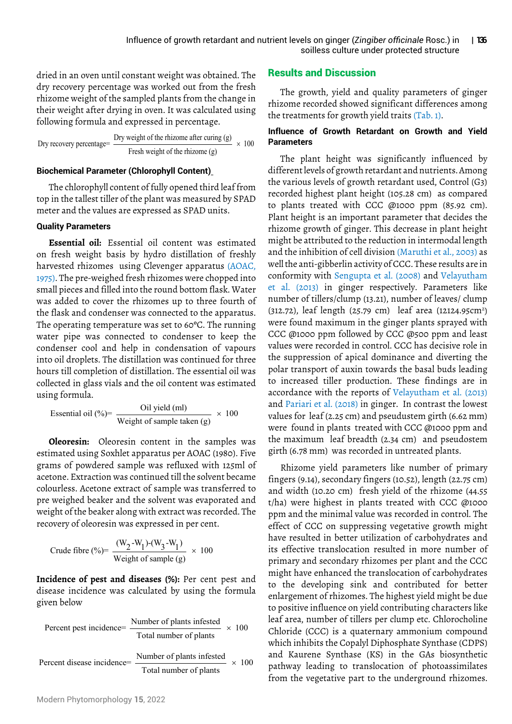dried in an oven until constant weight was obtained. The dry recovery percentage was worked out from the fresh rhizome weight of the sampled plants from the change in their weight after drying in oven. It was calculated using following formula and expressed in percentage.

Dry recovery percentage = 
$$
\frac{\text{Dry weight of the rhizome after curing (g)} }{\text{Fresh weight of the rhizome (g)} \times 100
$$

# **Biochemical Parameter (Chlorophyll Content)**

The chlorophyll content of fully opened third leaf from top in the tallest tiller of the plant was measured by SPAD meter and the values are expressed as SPAD units.

### **Quality Parameters**

**Essential oil:** Essential oil content was estimated on fresh weight basis by hydro distillation of freshly harvested rhizomes using Clevenger apparatus (AOAC, 1975). The pre-weighed fresh rhizomes were chopped into small pieces and filled into the round bottom flask. Water was added to cover the rhizomes up to three fourth of the flask and condenser was connected to the apparatus. The operating temperature was set to 60ºC. The running water pipe was connected to condenser to keep the condenser cool and help in condensation of vapours into oil droplets. The distillation was continued for three hours till completion of distillation. The essential oil was collected in glass vials and the oil content was estimated using formula.

Essential oil (%) = 
$$
\frac{\text{Oil yield (ml)}}{\text{Weight of sample taken (g)}} \times 100
$$

**Oleoresin:** Oleoresin content in the samples was estimated using Soxhlet apparatus per AOAC (1980). Five grams of powdered sample was refluxed with 125ml of acetone. Extraction was continued till the solvent became colourless. Acetone extract of sample was transferred to pre weighed beaker and the solvent was evaporated and weight of the beaker along with extract was recorded. The recovery of oleoresin was expressed in per cent.

Crude fibre (%) = 
$$
\frac{(W_2-W_1)-(W_3-W_1)}{Weight of sample (g)} \times 100
$$

**Incidence of pest and diseases (%):** Per cent pest and disease incidence was calculated by using the formula given below

Percent pest incidence=
$$
\frac{\text{Number of plants infected}}{\text{Total number of plants infected}} \times 100
$$
\nPercent disease incidence=
$$
\frac{\text{Number of plants infected}}{\text{Total number of plants}} \times 100
$$

# Results and Discussion

The growth, yield and quality parameters of ginger rhizome recorded showed significant differences among the treatments for growth yield traits (Tab. 1).

# **Influence of Growth Retardant on Growth and Yield Parameters**

The plant height was significantly influenced by different levels of growth retardant and nutrients. Among the various levels of growth retardant used, Control (G3) recorded highest plant height (105.28 cm) as compared to plants treated with CCC @1000 ppm (85.92 cm). Plant height is an important parameter that decides the rhizome growth of ginger. This decrease in plant height might be attributed to the reduction in intermodal length and the inhibition of cell division (Maruthi et al., 2003) as well the anti-gibberlin activity of CCC. These results are in conformity with Sengupta et al. (2008) and Velayutham et al. (2013) in ginger respectively. Parameters like number of tillers/clump (13.21), number of leaves/ clump (312.72), leaf length (25.79 cm) leaf area (12124.95cm<sup>2</sup>) were found maximum in the ginger plants sprayed with CCC @1000 ppm followed by CCC @500 ppm and least values were recorded in control. CCC has decisive role in the suppression of apical dominance and diverting the polar transport of auxin towards the basal buds leading to increased tiller production. These findings are in accordance with the reports of Velayutham et al. (2013) and Pariari et al. (2018) in ginger. In contrast the lowest values for leaf (2.25 cm) and pseudustem girth (6.62 mm) were found in plants treated with CCC @1000 ppm and the maximum leaf breadth (2.34 cm) and pseudostem girth (6.78 mm) was recorded in untreated plants.

Rhizome yield parameters like number of primary fingers (9.14), secondary fingers (10.52), length (22.75 cm) and width (10.20 cm) fresh yield of the rhizome (44.55 t/ha) were highest in plants treated with CCC @1000 ppm and the minimal value was recorded in control. The effect of CCC on suppressing vegetative growth might have resulted in better utilization of carbohydrates and its effective translocation resulted in more number of primary and secondary rhizomes per plant and the CCC might have enhanced the translocation of carbohydrates to the developing sink and contributed for better enlargement of rhizomes. The highest yield might be due to positive influence on yield contributing characters like leaf area, number of tillers per clump etc. Chlorocholine Chloride (CCC) is a quaternary ammonium compound which inhibits the Copalyl Diphosphate Synthase (CDPS) and Kaurene Synthase (KS) in the GAs biosynthetic pathway leading to translocation of photoassimilates from the vegetative part to the underground rhizomes.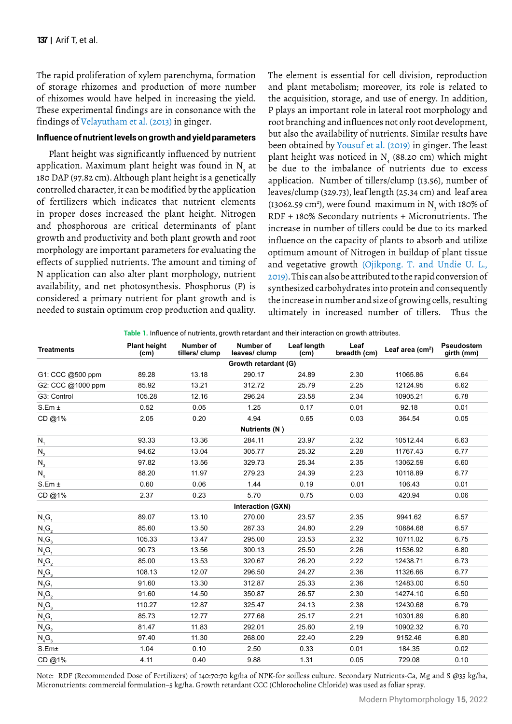The rapid proliferation of xylem parenchyma, formation of storage rhizomes and production of more number of rhizomes would have helped in increasing the yield. These experimental findings are in consonance with the findings of Velayutham et al. (2013) in ginger.

#### **Influence of nutrient levels on growth and yield parameters**

Plant height was significantly influenced by nutrient application. Maximum plant height was found in  $\mathrm{N}_{_{3}}$  at 180 DAP (97.82 cm). Although plant height is a genetically controlled character, it can be modified by the application of fertilizers which indicates that nutrient elements in proper doses increased the plant height. Nitrogen and phosphorous are critical determinants of plant growth and productivity and both plant growth and root morphology are important parameters for evaluating the effects of supplied nutrients. The amount and timing of N application can also alter plant morphology, nutrient availability, and net photosynthesis. Phosphorus (P) is considered a primary nutrient for plant growth and is needed to sustain optimum crop production and quality.

The element is essential for cell division, reproduction and plant metabolism; moreover, its role is related to the acquisition, storage, and use of energy. In addition, P plays an important role in lateral root morphology and root branching and influences not only root development, but also the availability of nutrients. Similar results have been obtained by Yousuf et al. (2019) in ginger. The least plant height was noticed in  $N_{4}$  (88.20 cm) which might be due to the imbalance of nutrients due to excess application. Number of tillers/clump (13.56), number of leaves/clump (329.73), leaf length (25.34 cm) and leaf area (13062.59 cm<sup>2</sup>), were found maximum in  $N<sub>3</sub>$  with 180% of RDF + 180% Secondary nutrients + Micronutrients. The increase in number of tillers could be due to its marked influence on the capacity of plants to absorb and utilize optimum amount of Nitrogen in buildup of plant tissue and vegetative growth (Ojikpong. T. and Undie U. L., 2019). This can also be attributed to the rapid conversion of synthesized carbohydrates into protein and consequently the increase in number and size of growing cells, resulting ultimately in increased number of tillers. Thus the

**Table 1.** Influence of nutrients, growth retardant and their interaction on growth attributes.

| <b>Treatments</b>    | <b>Plant height</b><br>(cm) | Number of<br>tillers/clump | Number of<br>leaves/clump | Leaf length<br>(cm) | Leaf<br>breadth (cm) | Leaf area $(cm2)$ | Pseudostem<br>girth (mm) |
|----------------------|-----------------------------|----------------------------|---------------------------|---------------------|----------------------|-------------------|--------------------------|
| Growth retardant (G) |                             |                            |                           |                     |                      |                   |                          |
| G1: CCC @500 ppm     | 89.28                       | 13.18                      | 290.17                    | 24.89               | 2.30                 | 11065.86          | 6.64                     |
| G2: CCC @1000 ppm    | 85.92                       | 13.21                      | 312.72                    | 25.79               | 2.25                 | 12124.95          | 6.62                     |
| G3: Control          | 105.28                      | 12.16                      | 296.24                    | 23.58               | 2.34                 | 10905.21          | 6.78                     |
| S.Em±                | 0.52                        | 0.05                       | 1.25                      | 0.17                | 0.01                 | 92.18             | 0.01                     |
| CD@1%                | 2.05                        | 0.20                       | 4.94                      | 0.65                | 0.03                 | 364.54            | 0.05                     |
| Nutrients (N)        |                             |                            |                           |                     |                      |                   |                          |
| $N_1$                | 93.33                       | 13.36                      | 284.11                    | 23.97               | 2.32                 | 10512.44          | 6.63                     |
| $N_{2}$              | 94.62                       | 13.04                      | 305.77                    | 25.32               | 2.28                 | 11767.43          | 6.77                     |
| $N_3$                | 97.82                       | 13.56                      | 329.73                    | 25.34               | 2.35                 | 13062.59          | 6.60                     |
| $N_4$                | 88.20                       | 11.97                      | 279.23                    | 24.39               | 2.23                 | 10118.89          | 6.77                     |
| S.Em±                | 0.60                        | 0.06                       | 1.44                      | 0.19                | 0.01                 | 106.43            | 0.01                     |
| CD@1%                | 2.37                        | 0.23                       | 5.70                      | 0.75                | 0.03                 | 420.94            | 0.06                     |
|                      |                             |                            | Interaction (GXN)         |                     |                      |                   |                          |
| $N_1G_1$             | 89.07                       | 13.10                      | 270.00                    | 23.57               | 2.35                 | 9941.62           | 6.57                     |
| $N_1G_2$             | 85.60                       | 13.50                      | 287.33                    | 24.80               | 2.29                 | 10884.68          | 6.57                     |
| $N_1G_3$             | 105.33                      | 13.47                      | 295.00                    | 23.53               | 2.32                 | 10711.02          | 6.75                     |
| $N_2G_1$             | 90.73                       | 13.56                      | 300.13                    | 25.50               | 2.26                 | 11536.92          | 6.80                     |
| $N_2G_2$             | 85.00                       | 13.53                      | 320.67                    | 26.20               | 2.22                 | 12438.71          | 6.73                     |
| $N_2G_3$             | 108.13                      | 12.07                      | 296.50                    | 24.27               | 2.36                 | 11326.66          | 6.77                     |
| $N_3G_1$             | 91.60                       | 13.30                      | 312.87                    | 25.33               | 2.36                 | 12483.00          | 6.50                     |
| $N_3G_2$             | 91.60                       | 14.50                      | 350.87                    | 26.57               | 2.30                 | 14274.10          | 6.50                     |
| $N_3G_3$             | 110.27                      | 12.87                      | 325.47                    | 24.13               | 2.38                 | 12430.68          | 6.79                     |
| $N_4G_1$             | 85.73                       | 12.77                      | 277.68                    | 25.17               | 2.21                 | 10301.89          | 6.80                     |
| $N_4G_2$             | 81.47                       | 11.83                      | 292.01                    | 25.60               | 2.19                 | 10902.32          | 6.70                     |
| $N_4G_3$             | 97.40                       | 11.30                      | 268.00                    | 22.40               | 2.29                 | 9152.46           | 6.80                     |
| S.Em <sub>±</sub>    | 1.04                        | 0.10                       | 2.50                      | 0.33                | 0.01                 | 184.35            | 0.02                     |
| CD@1%                | 4.11                        | 0.40                       | 9.88                      | 1.31                | 0.05                 | 729.08            | 0.10                     |

Note: RDF (Recommended Dose of Fertilizers) of 140:70:70 kg/ha of NPK-for soilless culture. Secondary Nutrients-Ca, Mg and S @35 kg/ha, Micronutrients: commercial formulation–5 kg/ha. Growth retardant CCC (Chlorocholine Chloride) was used as foliar spray.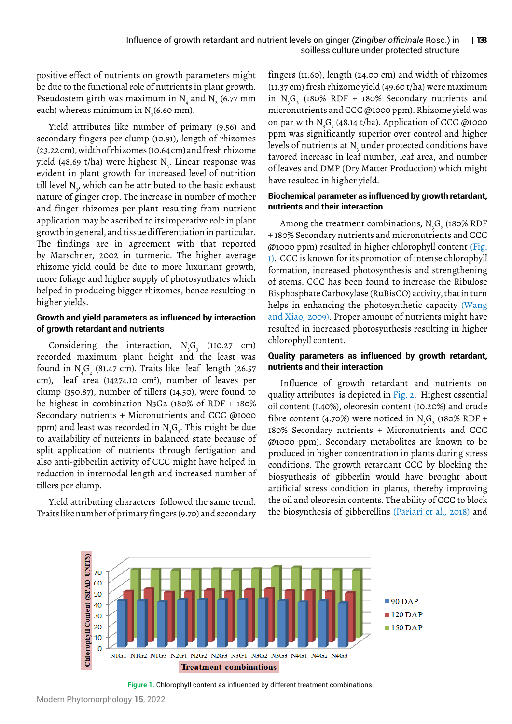positive effect of nutrients on growth parameters might be due to the functional role of nutrients in plant growth. Pseudostem girth was maximum in N<sub>4</sub> and N<sub>2</sub> (6.77 mm each) whereas minimum in N $_{\tiny 3}$ (6.60 mm).

Yield attributes like number of primary (9.56) and secondary fingers per clump (10.91), length of rhizomes (23.22 cm), width of rhizomes (10.64 cm) and fresh rhizome yield (48.69 t/ha) were highest N<sub>3</sub>. Linear response was evident in plant growth for increased level of nutrition till level N<sub>3</sub>, which can be attributed to the basic exhaust nature of ginger crop. The increase in number of mother and finger rhizomes per plant resulting from nutrient application may be ascribed to its imperative role in plant growth in general, and tissue differentiation in particular. The findings are in agreement with that reported by Marschner, 2002 in turmeric. The higher average rhizome yield could be due to more luxuriant growth, more foliage and higher supply of photosynthates which helped in producing bigger rhizomes, hence resulting in higher yields.

#### **Growth and yield parameters as influenced by interaction of growth retardant and nutrients**

Considering the interaction,  $N_{3}G_{3}$  (110.27 cm) recorded maximum plant height and the least was found in N<sub>4</sub>G<sub>2</sub> (81.47 cm). Traits like leaf length (26.57 cm), leaf area (14274.10 cm<sup>2</sup>), number of leaves per clump (350.87), number of tillers (14.50), were found to be highest in combination N3G2 (180% of RDF + 180% Secondary nutrients + Micronutrients and CCC @1000 ppm) and least was recorded in  $\mathrm{N}_{_4}\mathrm{G}_{_3}$ . This might be due to availability of nutrients in balanced state because of split application of nutrients through fertigation and also anti-gibberlin activity of CCC might have helped in reduction in internodal length and increased number of tillers per clump.

Yield attributing characters followed the same trend. Traits like number of primary fingers (9.70) and secondary fingers (11.60), length (24.00 cm) and width of rhizomes (11.37 cm) fresh rhizome yield (49.60 t/ha) were maximum in  $N_{3}G_{2}$  (180% RDF + 180% Secondary nutrients and micronutrients and CCC @1000 ppm). Rhizome yield was on par with N<sub>3</sub>G<sub>1</sub> (48.14 t/ha). Application of CCC @1000 ppm was significantly superior over control and higher levels of nutrients at  $\mathrm{N}_{_{\mathrm{3}}}$  under protected conditions have favored increase in leaf number, leaf area, and number of leaves and DMP (Dry Matter Production) which might have resulted in higher yield.

#### **Biochemical parameter as influenced by growth retardant, nutrients and their interaction**

Among the treatment combinations,  $\mathrm{N}_{_{3}}\mathrm{G}_{_{2}}$  (180% RDF + 180% Secondary nutrients and micronutrients and CCC @1000 ppm) resulted in higher chlorophyll content (Fig. 1). CCC is known for its promotion of intense chlorophyll formation, increased photosynthesis and strengthening of stems. CCC has been found to increase the Ribulose Bisphosphate Carboxylase (RuBisCO) activity, that in turn helps in enhancing the photosynthetic capacity (Wang and Xiao, [2009\)](https://www.ncbi.nlm.nih.gov/pmc/articles/PMC3274741/#B34). Proper amount of nutrients might have resulted in increased photosynthesis resulting in higher chlorophyll content.

# **Quality parameters as influenced by growth retardant, nutrients and their interaction**

Influence of growth retardant and nutrients on quality attributes is depicted in Fig. 2. Highest essential oil content (1.40%), oleoresin content (10.20%) and crude fibre content (4.70%) were noticed in  $N_{3}G_{2}$  (180% RDF + 180% Secondary nutrients + Micronutrients and CCC @1000 ppm). Secondary metabolites are known to be produced in higher concentration in plants during stress conditions. The growth retardant CCC by blocking the biosynthesis of gibberlin would have brought about artificial stress condition in plants, thereby improving the oil and oleoresin contents. The ability of CCC to block the biosynthesis of gibberellins (Pariari et al., 2018) and



**Figure 1.** Chlorophyll content as influenced by different treatment combinations.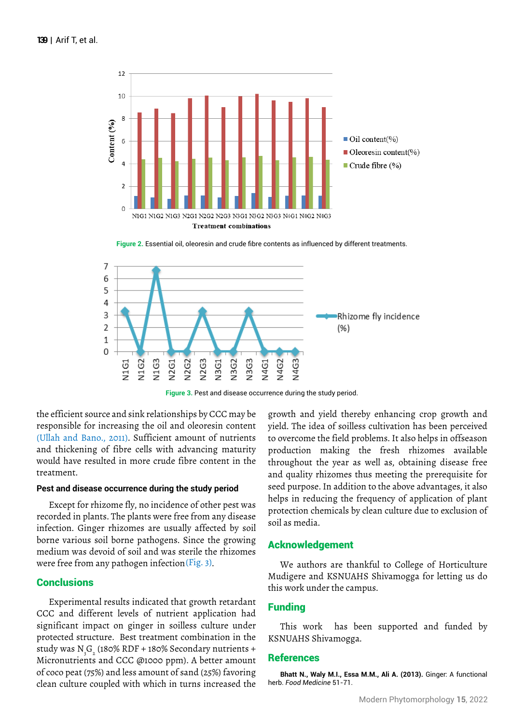

**Figure 2.** Essential oil, oleoresin and crude fibre contents as influenced by different treatments.



**Figure 3.** Pest and disease occurrence during the study period.

the efficient source and sink relationships by CCC may be responsible for increasing the oil and oleoresin content (Ullah and Bano., 2011). Sufficient amount of nutrients and thickening of fibre cells with advancing maturity would have resulted in more crude fibre content in the treatment.

#### **Pest and disease occurrence during the study period**

Except for rhizome fly, no incidence of other pest was recorded in plants. The plants were free from any disease infection. Ginger rhizomes are usually affected by soil borne various soil borne pathogens. Since the growing medium was devoid of soil and was sterile the rhizomes were free from any pathogen infection (Fig. 3).

# **Conclusions**

Experimental results indicated that growth retardant CCC and different levels of nutrient application had significant impact on ginger in soilless culture under protected structure. Best treatment combination in the study was N<sub>3</sub>G<sub>2</sub> (180% RDF + 180% Secondary nutrients + Micronutrients and CCC @1000 ppm). A better amount of coco peat (75%) and less amount of sand (25%) favoring clean culture coupled with which in turns increased the growth and yield thereby enhancing crop growth and yield. The idea of soilless cultivation has been perceived to overcome the field problems. It also helps in offseason production making the fresh rhizomes available throughout the year as well as, obtaining disease free and quality rhizomes thus meeting the prerequisite for seed purpose. In addition to the above advantages, it also helps in reducing the frequency of application of plant protection chemicals by clean culture due to exclusion of soil as media.

#### Acknowledgement

We authors are thankful to College of Horticulture Mudigere and KSNUAHS Shivamogga for letting us do this work under the campus.

# Funding

This work has been supported and funded by KSNUAHS Shivamogga.

#### References

**Bhatt N., Waly M.I., Essa M.M., Ali A. (2013).** Ginger: A functional herb. *Food Medicine* 51-71.